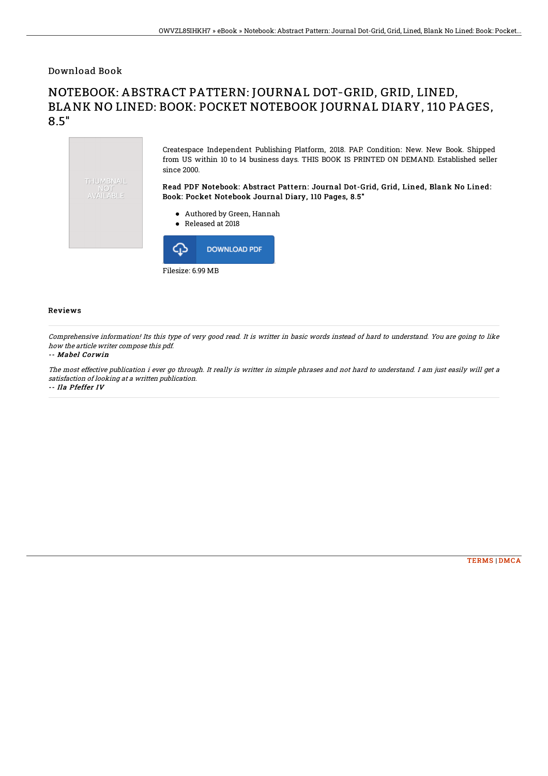Download Book

## NOTEBOOK: ABSTRACT PATTERN: JOURNAL DOT-GRID, GRID, LINED, BLANK NO LINED: BOOK: POCKET NOTEBOOK JOURNAL DIARY, 110 PAGES, 8.5"



## Reviews

Comprehensive information! Its this type of very good read. It is writter in basic words instead of hard to understand. You are going to like how the article writer compose this pdf.

## -- Mabel Corwin

The most effective publication i ever go through. It really is writter in simple phrases and not hard to understand. I am just easily will get <sup>a</sup> satisfaction of looking at <sup>a</sup> written publication. -- Ila Pfeffer IV